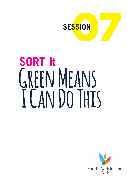

# **SORT It Green Means I Can Do This**

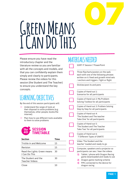

## **Green Means I Can Do This**

Please ensure you have read the introductory chapter and the literature review so you are familiar with all the concepts and models, and that you can confidently explain them simply and clearly to participants. Please review the videos for this session (the Student and The Teacher) to ensure you understand the key concepts.

## **LEARNING OBJECTIVES**

By the end of this session participants will:

- $\triangleright$  Understand the range of tools at their disposal to solve problems (e.g. themselves, other people, books/the internet)
- $\triangleright$  Plan how to use different tools available to them to solve problems



| <b>Section</b>                                | Time |
|-----------------------------------------------|------|
| Trickle in and Welcome                        | 15   |
| Revision                                      | 15   |
| Read the Lights: Green means<br>I Can Do This | 30   |
| The Student and the<br>Teacher Videos         | 30   |
| ۱۵۲۵                                          |      |

### **MATERIALS NEEDED**

| <b>SORT IT Session 7 PowerPoint</b>                                                                                                                                                                |  |
|----------------------------------------------------------------------------------------------------------------------------------------------------------------------------------------------------|--|
| Three flipcharts/posters on the wall,<br>each with one of the following phrases<br>written on it: fixed and growth mind-sets<br>/ anchors and triggers / fight or flight                           |  |
| Stickies/post-its and pens                                                                                                                                                                         |  |
| Copies of Hand-out 1:<br>Scenarios for all participants                                                                                                                                            |  |
| Copies of Hand-out 2: My Problem<br>Solving Toolbox for all participants                                                                                                                           |  |
| Copies of Hand-out 3: Problem Solving<br>Step by Step for all participants                                                                                                                         |  |
| Copies of Hand-out 4:<br>'The Student and The teacher<br>Take One' for all participants                                                                                                            |  |
| Copies of Hand-out 5:<br>'The Student and The Teacher<br>Take Two' for all participants                                                                                                            |  |
| Copies of Hand-out 6:<br>'7 Different Types of GNATS'                                                                                                                                              |  |
| Video 'The Student and the<br>teacher' loaded and ready to go                                                                                                                                      |  |
| Computer, speakers and a projector so<br>participants can see / hear the videos<br>1)<br>Tablet / phone with Dragon Racing<br>game downloaded and ready to use<br>2)<br>Dragon game marking scheme |  |
| 3)<br>PIPs connected to the device for<br>dragon racing                                                                                                                                            |  |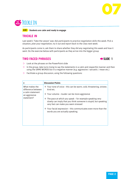



**AIM Students are calm and ready to engage**

#### **TRICKLE IN**

Last week's 'Take the Lesson' was: *Ask participants to practice negotiation skills this week. Pick a situation, plan your negotiation, try it out and report back to the class next week.*

As participants come in, ask them to share whether they did any negotiating this week and how it went. Do the exercise below with participants as they arrive into the bigger group

#### **TWO FACED PHRASES** Æ**SLIDE 1**



- $\triangleright$  Look at the phrases on the PowerPoint slide
- $\triangleright$  In the group, take turns trying to say the statements in a calm and respectful manner and then using the SAME WORDS but in a negative manner (e.g. aggressive / sarcastic / mean etc.)
- $\triangleright$  Facilitate a group discussion, using the following questions:

| v                                    | <b>Discussion Points</b>                                                                                                                                                         |
|--------------------------------------|----------------------------------------------------------------------------------------------------------------------------------------------------------------------------------|
| What makes the<br>difference between | $\rightarrow$ Your tone of voice - this can be warm, cold, threatening, sinister,<br>kind etc.                                                                                   |
| a calm statement<br>an aggressive    | $\rightarrow$ Your volume – louder can be more aggressive                                                                                                                        |
| statement?                           | $\rightarrow$ The pace at which you speak – for example speaking very<br>slowly can imply that you think someone is stupid, but speaking<br>very fast can make you seem stressed |
|                                      | $\rightarrow$ Your facial expression – this communicates even more than the<br>words you are actually speaking.                                                                  |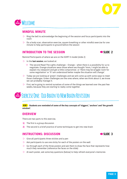



#### **MINDFUL MINUTE**

- $\triangleright$  Ring the bell to acknowledge the beginning of the session and focus participants into the room
- $\triangleright$  Do a body scan, observation exercise, square breathing or other mindful exercise for one minute to help participants to ground before the session

#### **INTRODUCTION TO THE SESSION EXAMPLE 2**



Remind Participants of where we are on the SORT It model (slide 2)

- $\triangleright$  In the **last session**, we looked at:
	- $\rightarrow$  The second Read The Lights challenge Orange when there is a possibility for us to negotiate. Orange situations were those where we thought 'hmm, I might be able to explain my viewpoint and get a little compromise', or 'there may be wriggle room for some negotiation' or 'If I am understood better maybe the situation will change'.
- $\triangleright$  Today we are looking at 'green' challenges and we will come up with some ways to meet those challenges. Green challenges are the ones where, when we think about it, we know we can probably manage it.
- $\triangleright$  First, we're going to remind ourselves of some of the things we learned over the past few weeks, because they are starting to really come together.

## **15 MIN Exercise One: Old Brain to New Brain Revision**

**AIM Students are reminded of some of the key concepts of 'triggers', 'anchors' and 'the growth mindset'.**

#### **OVERVIEW**

There are two parts to this exercise,

- **1)** The first is a group discussion
- **2)** The second is a brief practice of some techniques to get into new brain

#### **INSTRUCTIONS: DISCUSSION EXAMPLE 2**



- $\triangleright$  Give all participants three stickies and a pen
- $\triangleright$  Ask participants to use one sticky for each of the posters on the wall
- $\triangleright$  Go through each of the three posters and ask them to draw the face that represents how much they remember (reference the faces on the slide)
- $\triangleright$  At each poster, ask some key questions (below) to help refresh everyone's memories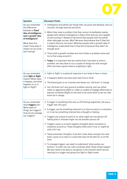

| Question                                                                                                                                                           | <b>Discussion Points</b>                                                                                                                                                                                                                                                                                                                                                                                                                                                                                                                                                                                                                                                                                                                                                                 |  |  |
|--------------------------------------------------------------------------------------------------------------------------------------------------------------------|------------------------------------------------------------------------------------------------------------------------------------------------------------------------------------------------------------------------------------------------------------------------------------------------------------------------------------------------------------------------------------------------------------------------------------------------------------------------------------------------------------------------------------------------------------------------------------------------------------------------------------------------------------------------------------------------------------------------------------------------------------------------------------------|--|--|
| Do you remember<br>the difference                                                                                                                                  | $\rightarrow$ Intelligence and ability are things that can grow and develop, like our<br>muscles, through exercise and work                                                                                                                                                                                                                                                                                                                                                                                                                                                                                                                                                                                                                                                              |  |  |
| between a 'fixed'<br>idea of intelligence<br>and a 'growth' idea<br>of intelligence?<br>What does this<br>mean? How does it<br>impact on our prob-<br>lem-solving? | $\rightarrow$ When they meet a problem that they cannot immediately master,<br>people who believe intelligence is fixed, think they are not capable<br>of overcoming it. Research has found that people with this belief<br>often sabotage success. Why? Because they believe that if they fail<br>it means they are not smart. Whereas people with a growth idea of<br>intelligence understand that if they fail its because they didn't do<br>enough work.<br>$\rightarrow$ Those with a growth mindset are more likely to problem solve and<br>try to find a way around it.<br>$\rightarrow$ Today, it is important that we realise that if we want to solve a<br>problem, we may have to try a couple of things but with enough<br>effort we have a good chance of getting it right. |  |  |
| Do you remember<br>what fight or flight                                                                                                                            | $\rightarrow$ Fight or flight' is a physical response in our body to fear or stress<br>$\rightarrow$ It happens before we have even had time to think                                                                                                                                                                                                                                                                                                                                                                                                                                                                                                                                                                                                                                    |  |  |
| means? When does<br>it happen, and what                                                                                                                            | $\rightarrow$ The blood goes to our muscles and leaves our 'old brain' in charge                                                                                                                                                                                                                                                                                                                                                                                                                                                                                                                                                                                                                                                                                                         |  |  |
| happens to us in<br>fight or flight?                                                                                                                               | $\rightarrow$ Our old brain isn't very good at problem-solving, and can either<br>make us aggressive (fight) or make us unable to engage effectively or<br>express ourselves (flight) so we have to do some work to let our new<br>brain be in charge.                                                                                                                                                                                                                                                                                                                                                                                                                                                                                                                                   |  |  |
| Do you remember<br>what triggers are?                                                                                                                              | $\rightarrow$ A trigger is something that sets us off thinking negatively, the way a<br>trigger sets off a gun.                                                                                                                                                                                                                                                                                                                                                                                                                                                                                                                                                                                                                                                                          |  |  |
| What types of<br>things are triggers?<br>How do we manage                                                                                                          | $\rightarrow$ A trigger can be something external to us like an event or a situation,<br>or it can be something internal like a thought or feeling.                                                                                                                                                                                                                                                                                                                                                                                                                                                                                                                                                                                                                                      |  |  |
| our triggers?                                                                                                                                                      | $\rightarrow$ Triggers are unique to each of us; what might set one person off<br>feeling bad or stressed might not set another person off.                                                                                                                                                                                                                                                                                                                                                                                                                                                                                                                                                                                                                                              |  |  |
|                                                                                                                                                                    | $\rightarrow$ Triggers cause us to have negative thoughts about ourselves or<br>situations around us. These thoughts often aren't true, or might be<br>only a bit true.                                                                                                                                                                                                                                                                                                                                                                                                                                                                                                                                                                                                                  |  |  |
|                                                                                                                                                                    | $\rightarrow$ These automatic thoughts, if we don't slow down and get into new<br>brain, cause us to react in a way that may not be best for us at the<br>time.                                                                                                                                                                                                                                                                                                                                                                                                                                                                                                                                                                                                                          |  |  |
|                                                                                                                                                                    | $\rightarrow$ To manage triggers, we need to understand 'what pushes our<br>buttons', so when we can calm ourselves when these things happen.<br>We also need to be able to recognise in the moment when we are<br>reacting to a trigger and going into fight or flight mode.                                                                                                                                                                                                                                                                                                                                                                                                                                                                                                            |  |  |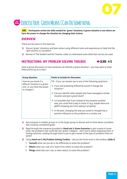

## **20 MIN Exercise Four: Green Means I Can Do Something**

**AIM Participants review the skills needed for 'green' situations. A green situation is one where we have the power to change the situation by changing their actions.**

#### **OVERVIEW**

There are two parts to this exercise:

- **1)** Discuss 'green' situations and learn about using different tools and experiences to help find the right solution to a problem
- **2)** Review of The Student and the Teacher video to understand some skills that can be can used

#### **INSTRUCTIONS: MY PROBLEM SOLVING TOOLBOX → SLIDE 4-5**



Have a group discussion on how someone can identify a green situation – you may want to draw these points up on a chart.

| <b>Group Question</b>                                                                                  | <b>Points to Include for Discussion</b>                                                                                                                                                 |
|--------------------------------------------------------------------------------------------------------|-----------------------------------------------------------------------------------------------------------------------------------------------------------------------------------------|
| How do you know if a<br>difficult situation is a green<br>one, i.e. you have the power<br>to change it | TIP - If you can answer yes to any of the following questions:                                                                                                                          |
|                                                                                                        | $\rightarrow$ If you did something differently would it change the<br>situation?                                                                                                        |
|                                                                                                        | $\rightarrow$ Can you identify other people who have managed a similar<br>situation and got a good result?                                                                              |
|                                                                                                        | $\rightarrow$ Is it possible that if you looked at the situation another<br>way, you could find a way to solve it? (e.g. maybe there are<br>gNATS stopping you from seeing it properly) |
|                                                                                                        | $\rightarrow$ In the past, changing the way you acted or thought has a<br>positive influence on this problem or a similar one                                                           |

- **1)** Ask everyone in smaller groups or in the larger group to discuss and to think about a problem that could be considered green
- **2)**  Read through the scenarios provided in **Hand-out 1: Green Scenarios** to get a sense of some other the problems that could fall into 'green' category – don't worry about analysing them or finding solutions, reading through them is just to get a sense of the type of problems that are 'green'
- **3)**  Using **Hand-out 2: My Problem Solving Toolbox** discuss the three tools in the toolbox: **[slide 5]**
	- $\rightarrow$  **Yourself:** what can you do or do differently to solve this problem?
	- $\rightarrow$  **Others:** what can I ask of or learn from others to solve this problem?
	- $\rightarrow$  **Things:** what else can I use, or learn about, to solve the problem?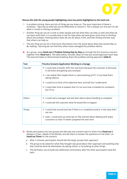

#### **Discuss this with the young people highlighting some key points highlighted on the hand out:**

- $\triangleright$  In problem solving, there are lots of things we can draw on. The most important of these is ourselves – figuring out what we can do differently to resolve it. This is always our first port of call when it comes to solving a problem.
- $\triangleright$  Another thing we can do is look to other people and see what they can help us with and what we can learn with them. It is usually best to ask for help when we have given some time to thinking about the problem, thinking about what we can do about it first, and then finding the best way that others can help us.
- $\triangleright$  The last thing we can do is find more information from the world about what else would help us. By reading / learning we can find how others have managed this problem before.
- **4)**  As a group, using **Hand-out 3: Problem Solving Step by Step** go through the first practice scenario together from **Hand-out 1**. The table below includes ideas on how you would approach each step. This exercise helps to demonstrate breaking down the problem solving approach. **[slide 6]**

| Tool          | <b>Practice Scenario Application: Working in a Garage</b>                                                                                      |
|---------------|------------------------------------------------------------------------------------------------------------------------------------------------|
| Yourself      | $\rightarrow$ 1 could take a breath, shift into new brain because the customer is obviously<br>in old brain and getting very annoyed           |
|               | $\rightarrow$ 1 can realise that maybe there's a 'personalising $g$ NAT' in my head that's<br>taking offence                                   |
|               | $\rightarrow$ 1 could try to think of his objective here, and tell him I understand                                                            |
|               | $\rightarrow$ 1 could take time to explain that I'm not sure how to handle his complaint,<br>but I'll try                                      |
| Others        | $\rightarrow$ 1 could call a manager and ask their advice about handling a complaint                                                           |
|               | $\rightarrow$ 1 could ask the customer what he would like to happen                                                                            |
| <b>Things</b> | $\rightarrow$ I could look around and see if there is a 'complaints policy' in the shop that I<br>can use                                      |
|               | $\rightarrow$ Later, I could look up some tips on the internet about dealing with angry<br>customers so that I'm better prepared the next time |

- **5)**  Break participants into two groups and allocate one scenario each to them from **Hand-out 1** (Sleepy in Class / Battle of the Bands), and ask them to answer the questions on the slide / on **Hand-out Three** for the scenario.
	- a. After 5 minutes, participants should tell the larger groups their approach
	- b. The group to be asked for what they thought was good about their approach and anything else that could be done by themselves, by asking others, or by looking at other things.
	- c. The facilitator can provide any additional commentary after the other participants have fed back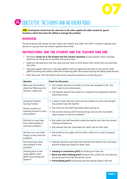

## **30 MIN Exercise Five: The Student and the teacher Video**

**AIM Participants review how the character in the video applies the skills needed for 'green' situations, where they have the ability to manage the problem.**

#### **OVERVIEW**

The participants will review the two videos, the 'before' and 'after' the SORT It model is applied, and discuss as a group how the student applied these skills.

#### **INSTRUCTIONS: ONE THE STUDENT AND THE TEACHER TAKE ONE**

- w Distribute **Hand-out 4: The Student and The Teacher Questions** to participants, which includes questions for the group to consider during the video.
- $\triangleright$  Read out the questions with the class and ask them to think about them while they are watching the video.
- $\triangleright$  Give participants Hand-out 6: the pesky gNATS Hand-out again and ask them to look out for what gNATS are biting the student, when she is reflecting after the situation (during the talking head section)

|  |  | $\triangleright$ Play 'take one', then facilitate a discussion using the questions as a starting point. |  |  |  |  |
|--|--|---------------------------------------------------------------------------------------------------------|--|--|--|--|
|--|--|---------------------------------------------------------------------------------------------------------|--|--|--|--|

| <b>Question</b>                                                                | <b>Points for Discussion</b>                                                                                                                                                                                                                                                          |
|--------------------------------------------------------------------------------|---------------------------------------------------------------------------------------------------------------------------------------------------------------------------------------------------------------------------------------------------------------------------------------|
| What was the student's<br>objective? What was the                              | $\rightarrow$ The student wanted to be able to do the task assigned to her. She<br>didn't want to be embarrassed.                                                                                                                                                                     |
| teacher's objective?                                                           | $\rightarrow$ The teacher wanted the student to complete the assignment without<br>disturbing others                                                                                                                                                                                  |
| Using the Problem<br><b>Solving Toolbox:</b>                                   | $\rightarrow$ It doesn't seem like she could see the problem to solve; she thought<br>the problem was the teacher                                                                                                                                                                     |
| Did the student try                                                            | $\rightarrow$ She tried, but very half-heartedly, before giving up                                                                                                                                                                                                                    |
| anything herself to solve<br>the problem?                                      | $\rightarrow$ She started messing and throwing things around, which probably<br>wasn't going to solve her problem?                                                                                                                                                                    |
| Did she try to get help<br>from other people to                                | $\rightarrow$ Not really, she half-heartedly called the teacher but then she started<br>messing and gave up                                                                                                                                                                           |
| solve her problem?                                                             | $\rightarrow$ She messed with her classmates but didn't ask for their help                                                                                                                                                                                                            |
| Did she try to use other<br>things, to help solve her<br>problem?              | $\rightarrow$ She looked at her page a bit but didn't really try to read it properly,<br>look it up                                                                                                                                                                                   |
| Did anyone get what<br>they wanted in that<br>situation?                       | $\rightarrow$ Nobody seemed to get what they wanted; the teacher was frustrated<br>and the student got asked to leave class                                                                                                                                                           |
| Thinking back to the<br>pesky gNATS, what<br>gNATS were biting the<br>student? | $\rightarrow$ Jumping to conclusions gNAT: by thinking he hates her<br>$\rightarrow$ Black and white thinking gNAT: because she couldn't do one exercise<br>she presumed she'd fail the whole course<br>$\rightarrow$ Personalising gNAT: presuming that the teacher doesn't like her |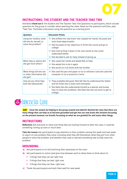

#### **INSTRUCTIONS: THE STUDENT AND THE TEACHER TAKE TWO**

Distribute **Hand-out 5:** The Student and The Teacher Take Two Questions to participants, which include questions for the group to consider when watching the video. Read out the questions and then, play 'Take Two'. Facilitate a discussion using the questions as a starting point.

| Question                                                        | <b>Discussion Points</b>                                                                                                                                    |
|-----------------------------------------------------------------|-------------------------------------------------------------------------------------------------------------------------------------------------------------|
| Using her toolbox, what<br>did she do, herself, to              | $\rightarrow$ She shifted into new brain: she clasped her hands, focussed and<br>took three deep breaths                                                    |
| solve the problem?                                              | $\rightarrow$ She focussed on her objective; to finish the course and go to<br>college                                                                      |
|                                                                 | $\rightarrow$ She tried writing it down in her own words so she could<br>understand better                                                                  |
|                                                                 | $\rightarrow$ She decided to ask for help instead of giving up                                                                                              |
| What help or advice did<br>she get from others?                 | $\rightarrow$ She raised her hands and asked Rob to help                                                                                                    |
|                                                                 | $\rightarrow$ She asked him to do it again                                                                                                                  |
|                                                                 | $\rightarrow$ She works on it at home with her brother                                                                                                      |
| What things did she use<br>or other information did<br>she get? | $\rightarrow$ She used the pen and paper to try to reframe it and she used the<br>computer to try to practice it more                                       |
| How do you think they<br>both felt afterwards?                  | $\rightarrow$ They probably felt good. Rob felt like he understood her better<br>and he thinks she is smart and motivated.                                  |
|                                                                 | $\rightarrow$ She feels like she understands herself as a learner and knows<br>how to solve her problems. She feels like she can work to get to<br>college. |

## **10 MIN Exercise Six: Close**

**AIM Close the session by helping to the group unwind and debrief. Remind the class that there are** many things that can help us to become grounded and get into our new brain; this involves focussing **on the present moment, our breath, focussing on what we are grateful for and many other things.**

#### **INSTRUCTIONS**

**Reflection:** Ask everyone to name one thing they are looking forward to after this class, it could be something coming up soon or much later.

**Take the Lesson:** Ask participants to pay attention to their problem-solving this week and next week to report on one problem they solve, including what they did themselves, what they got from other people to solve the problem, and whether they read or learned something new to help solve the problem.

#### **GROUNDING:**

- **a)** Ask participants to sit still and bring their awareness to the room
- **b)** Ask participants to notice (and give time between each to allow them to think about it)
	- $\rightarrow$  3 things that they can see right now
	- $\rightarrow$  3 things that they can feel, right now
	- $\rightarrow$  3 things that they can hear, right now
- **c**) Thank the participants and wish them well for next week.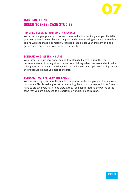

#### **HAND-OUT ONE: GREEN SCENES: CASE STUDIES**

#### **PRACTICE SCENARIO: WORKING IN A GARAGE**

You work in a garage and a customer comes in the door looking annoyed. He tells you that he was in yesterday and the person who was working was very rude to him and he wants to make a complaint. You don't feel like it's your problem and he's getting more annoyed at you because you say this.

#### **SCENARIO ONE: SLEEPY IN CLASS**

Your tutor is getting very annoyed and threatens to kick you out of the course because you're not paying attention. You keep falling asleep in class and not really taking part because you are exhausted. You've been staying up late watching a new show because it helps you escape the stress.

#### **SCENARIO TWO: BATTLE OF THE BANDS**

You are entering a battle of the bands competition with your group of friends. Your band-mate Alex is really good at remembering the words of songs and doesn't really have to practice very hard to do well at this. You keep forgetting the words of the song that you are supposed to be performing and it's embarrassing.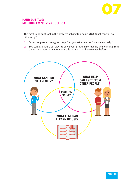

#### **HAND-OUT TWO: MY PROBLEM SOLVING TOOLBOX**

The most important tool in the problem solving toolbox is YOU! What can you do differently?

- **1)** Other people can be a great help. Can you ask someone for advice or help?
- **2)** You can also figure out ways to solve your problem by reading and learning from the world around you about how this problem has been solved before

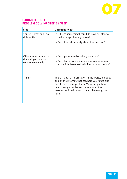

#### **HAND-OUT THREE: PROBLEM SOLVING STEP BY STEP**

| <b>Step</b>                                                          | <b>Questions to ask</b>                                                                                                                                                                                                                                                 |
|----------------------------------------------------------------------|-------------------------------------------------------------------------------------------------------------------------------------------------------------------------------------------------------------------------------------------------------------------------|
| Yourself: what can I do<br>differently                               | $\rightarrow$ Is there something I could do now, or later, to<br>make this problem go away?<br>$\rightarrow$ Can I think differently about this problem?                                                                                                                |
|                                                                      |                                                                                                                                                                                                                                                                         |
| Others: when you have<br>done all you can, can<br>someone else help? | $\rightarrow$ Can I get advice by asking someone?<br>$\rightarrow$ Can I learn from someone else's experiences<br>who might have had a similar problem before?                                                                                                          |
| Things:                                                              | There is a lot of information in the world, in books<br>and on the internet, that can help you figure out<br>how to solve your problem. Many people have<br>been through similar and have shared their<br>learning and their ideas. You just have to go look<br>for it. |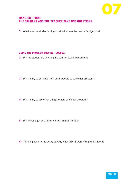

#### **HAND-OUT FOUR: THE STUDENT AND THE TEACHER TAKE ONE QUESTIONS**

**1)** What was the student's objective? What was the teacher's objective?

#### **USING THE PROBLEM SOLVING TOOLBOX:**

**2)** Did the student try anything herself to solve the problem?

- **3)** Did she try to get help from other people to solve her problem?
- 4) Did she try to use other things to help solve her problem?
- **5)** Did anyone get what they wanted in that situation?

**6)** Thinking back to the pesky gNATS, what gNATS were biting the student?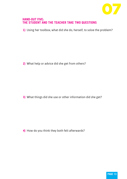

#### **HAND-OUT FIVE: THE STUDENT AND THE TEACHER TAKE TWO QUESTIONS**

1) Using her toolbox, what did she do, herself, to solve the problem?

**2)** What help or advice did she get from others?

**3)** What things did she use or other information did she get?

4) How do you think they both felt afterwards?